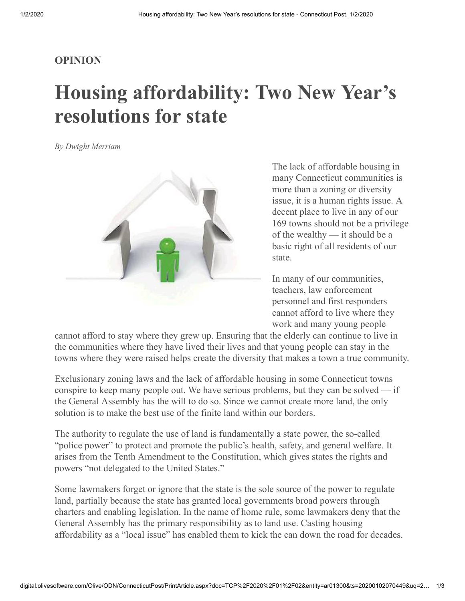## **OPINION**

## **Housing affordability: Two New Year's resolutions for state**

*By Dwight Merriam*



The lack of affordable housing in many Connecticut communities is more than a zoning or diversity issue, it is a human rights issue. A decent place to live in any of our 169 towns should not be a privilege of the wealthy — it should be a basic right of all residents of our state.

In many of our communities, teachers, law enforcement personnel and first responders cannot afford to live where they work and many young people

cannot afford to stay where they grew up. Ensuring that the elderly can continue to live in the communities where they have lived their lives and that young people can stay in the towns where they were raised helps create the diversity that makes a town a true community.

Exclusionary zoning laws and the lack of affordable housing in some Connecticut towns conspire to keep many people out. We have serious problems, but they can be solved — if the General Assembly has the will to do so. Since we cannot create more land, the only solution is to make the best use of the finite land within our borders.

The authority to regulate the use of land is fundamentally a state power, the so-called "police power" to protect and promote the public's health, safety, and general welfare. It arises from the Tenth Amendment to the Constitution, which gives states the rights and powers "not delegated to the United States."

Some lawmakers forget or ignore that the state is the sole source of the power to regulate land, partially because the state has granted local governments broad powers through charters and enabling legislation. In the name of home rule, some lawmakers deny that the General Assembly has the primary responsibility as to land use. Casting housing affordability as a "local issue" has enabled them to kick the can down the road for decades.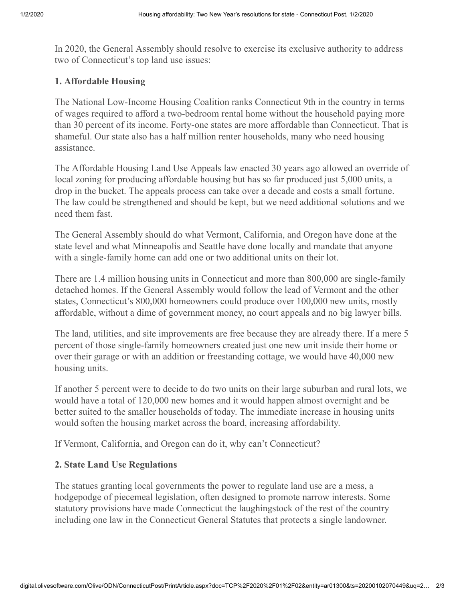In 2020, the General Assembly should resolve to exercise its exclusive authority to address two of Connecticut's top land use issues:

## **1. Affordable Housing**

The National Low-Income Housing Coalition ranks Connecticut 9th in the country in terms of wages required to afford a two-bedroom rental home without the household paying more than 30 percent of its income. Forty-one states are more affordable than Connecticut. That is shameful. Our state also has a half million renter households, many who need housing assistance.

The Affordable Housing Land Use Appeals law enacted 30 years ago allowed an override of local zoning for producing affordable housing but has so far produced just 5,000 units, a drop in the bucket. The appeals process can take over a decade and costs a small fortune. The law could be strengthened and should be kept, but we need additional solutions and we need them fast.

The General Assembly should do what Vermont, California, and Oregon have done at the state level and what Minneapolis and Seattle have done locally and mandate that anyone with a single-family home can add one or two additional units on their lot.

There are 1.4 million housing units in Connecticut and more than 800,000 are single-family detached homes. If the General Assembly would follow the lead of Vermont and the other states, Connecticut's 800,000 homeowners could produce over 100,000 new units, mostly affordable, without a dime of government money, no court appeals and no big lawyer bills.

The land, utilities, and site improvements are free because they are already there. If a mere 5 percent of those single-family homeowners created just one new unit inside their home or over their garage or with an addition or freestanding cottage, we would have 40,000 new housing units.

If another 5 percent were to decide to do two units on their large suburban and rural lots, we would have a total of 120,000 new homes and it would happen almost overnight and be better suited to the smaller households of today. The immediate increase in housing units would soften the housing market across the board, increasing affordability.

If Vermont, California, and Oregon can do it, why can't Connecticut?

## **2. State Land Use Regulations**

The statues granting local governments the power to regulate land use are a mess, a hodgepodge of piecemeal legislation, often designed to promote narrow interests. Some statutory provisions have made Connecticut the laughingstock of the rest of the country including one law in the Connecticut General Statutes that protects a single landowner.